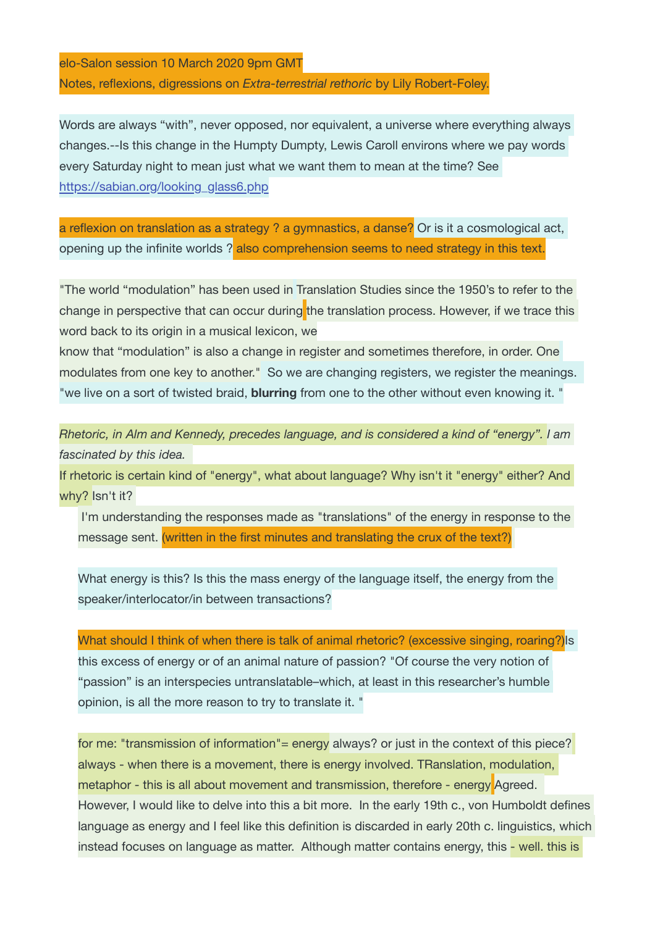elo-Salon session 10 March 2020 9pm GMT Notes, reflexions, digressions on *Extra-terrestrial rethoric* by Lily Robert-Foley.

Words are always "with", never opposed, nor equivalent, a universe where everything always changes.--Is this change in the Humpty Dumpty, Lewis Caroll environs where we pay words every Saturday night to mean just what we want them to mean at the time? See https://sabian.org/looking\_glass6.php

a reflexion on translation as a strategy ? a gymnastics, a danse? Or is it a cosmological act, opening up the infinite worlds ? also comprehension seems to need strategy in this text.

"The world "modulation" has been used in Translation Studies since the 1950's to refer to the change in perspective that can occur during the translation process. However, if we trace this word back to its origin in a musical lexicon, we

know that "modulation" is also a change in register and sometimes therefore, in order. One modulates from one key to another." So we are changing registers, we register the meanings. "we live on a sort of twisted braid, **blurring** from one to the other without even knowing it. "

*Rhetoric, in Alm and Kennedy, precedes language, and is considered a kind of "energy". I am fascinated by this idea.* 

If rhetoric is certain kind of "energy", what about language? Why isn't it "energy" either? And why? Isn't it?

I'm understanding the responses made as "translations" of the energy in response to the message sent. (written in the first minutes and translating the crux of the text?)

What energy is this? Is this the mass energy of the language itself, the energy from the speaker/interlocator/in between transactions?

What should I think of when there is talk of animal rhetoric? (excessive singing, roaring?) Is this excess of energy or of an animal nature of passion? "Of course the very notion of "passion" is an interspecies untranslatable–which, at least in this researcher's humble opinion, is all the more reason to try to translate it. "

for me: "transmission of information"= energy always? or just in the context of this piece? always - when there is a movement, there is energy involved. TRanslation, modulation, metaphor - this is all about movement and transmission, therefore - energy Agreed. However, I would like to delve into this a bit more. In the early 19th c., von Humboldt defines language as energy and I feel like this definition is discarded in early 20th c. linguistics, which instead focuses on language as matter. Although matter contains energy, this - well. this is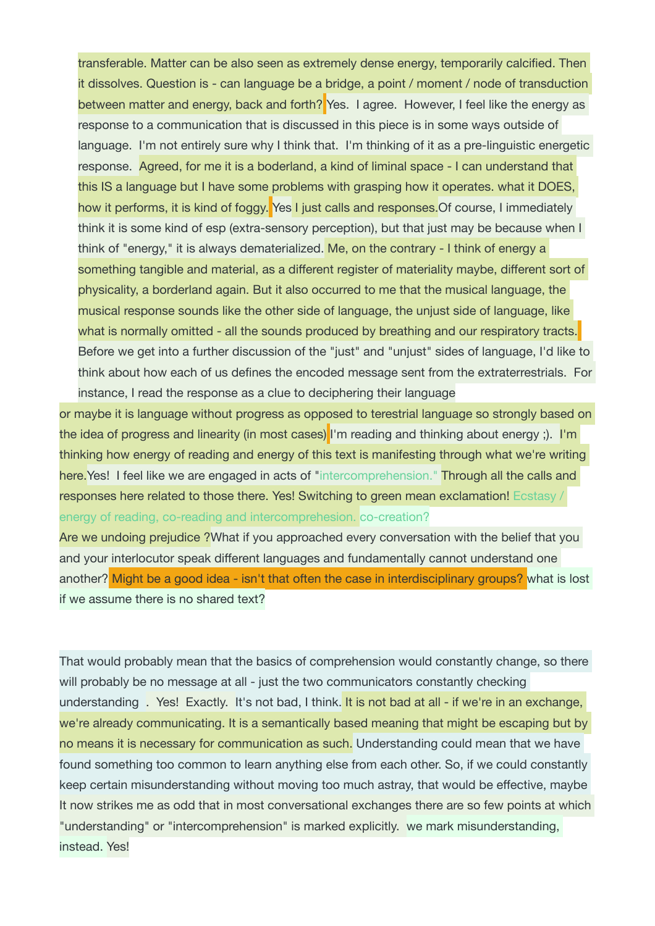transferable. Matter can be also seen as extremely dense energy, temporarily calcified. Then it dissolves. Question is - can language be a bridge, a point / moment / node of transduction between matter and energy, back and forth? Yes. I agree. However, I feel like the energy as response to a communication that is discussed in this piece is in some ways outside of language. I'm not entirely sure why I think that. I'm thinking of it as a pre-linguistic energetic response. Agreed, for me it is a boderland, a kind of liminal space - I can understand that this IS a language but I have some problems with grasping how it operates. what it DOES, how it performs, it is kind of foggy. Yes I just calls and responses. Of course, I immediately think it is some kind of esp (extra-sensory perception), but that just may be because when I think of "energy," it is always dematerialized. Me, on the contrary - I think of energy a something tangible and material, as a different register of materiality maybe, different sort of physicality, a borderland again. But it also occurred to me that the musical language, the musical response sounds like the other side of language, the unjust side of language, like what is normally omitted - all the sounds produced by breathing and our respiratory tracts. Before we get into a further discussion of the "just" and "unjust" sides of language, I'd like to think about how each of us defines the encoded message sent from the extraterrestrials. For instance, I read the response as a clue to deciphering their language

or maybe it is language without progress as opposed to terestrial language so strongly based on the idea of progress and linearity (in most cases) I'm reading and thinking about energy; ). I'm thinking how energy of reading and energy of this text is manifesting through what we're writing here. Yes! I feel like we are engaged in acts of "intercomprehension." Through all the calls and responses here related to those there. Yes! Switching to green mean exclamation! Ecstasy / energy of reading, co-reading and intercomprehesion. co-creation?

Are we undoing prejudice ? What if you approached every conversation with the belief that you and your interlocutor speak different languages and fundamentally cannot understand one another? Might be a good idea - isn't that often the case in interdisciplinary groups? what is lost if we assume there is no shared text?

That would probably mean that the basics of comprehension would constantly change, so there will probably be no message at all - just the two communicators constantly checking understanding . Yes! Exactly. It's not bad, I think. It is not bad at all - if we're in an exchange, we're already communicating. It is a semantically based meaning that might be escaping but by no means it is necessary for communication as such. Understanding could mean that we have found something too common to learn anything else from each other. So, if we could constantly keep certain misunderstanding without moving too much astray, that would be effective, maybe It now strikes me as odd that in most conversational exchanges there are so few points at which "understanding" or "intercomprehension" is marked explicitly. we mark misunderstanding, instead. Yes!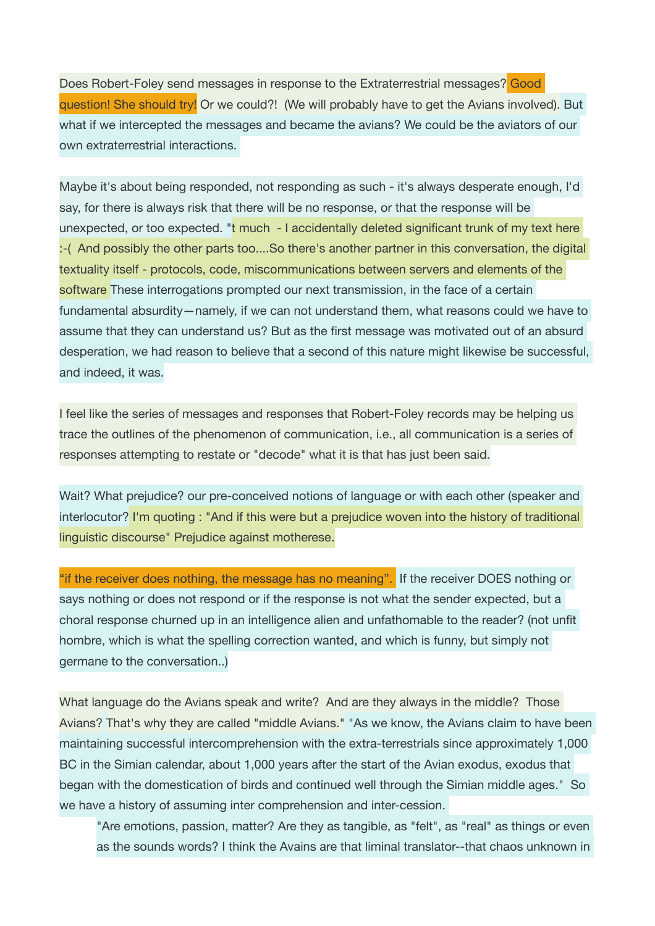Does Robert-Foley send messages in response to the Extraterrestrial messages? Good question! She should try! Or we could?! (We will probably have to get the Avians involved). But what if we intercepted the messages and became the avians? We could be the aviators of our own extraterrestrial interactions.

Maybe it's about being responded, not responding as such - it's always desperate enough, I'd say, for there is always risk that there will be no response, or that the response will be unexpected, or too expected. "t much - I accidentally deleted significant trunk of my text here :-( And possibly the other parts too....So there's another partner in this conversation, the digital textuality itself - protocols, code, miscommunications between servers and elements of the software These interrogations prompted our next transmission, in the face of a certain fundamental absurdity—namely, if we can not understand them, what reasons could we have to assume that they can understand us? But as the first message was motivated out of an absurd desperation, we had reason to believe that a second of this nature might likewise be successful, and indeed, it was.

I feel like the series of messages and responses that Robert-Foley records may be helping us trace the outlines of the phenomenon of communication, i.e., all communication is a series of responses attempting to restate or "decode" what it is that has just been said.

Wait? What prejudice? our pre-conceived notions of language or with each other (speaker and interlocutor? I'm quoting : "And if this were but a prejudice woven into the history of traditional linguistic discourse" Prejudice against motherese.

"if the receiver does nothing, the message has no meaning". If the receiver DOES nothing or says nothing or does not respond or if the response is not what the sender expected, but a choral response churned up in an intelligence alien and unfathomable to the reader? (not unfit hombre, which is what the spelling correction wanted, and which is funny, but simply not germane to the conversation..)

What language do the Avians speak and write? And are they always in the middle? Those Avians? That's why they are called "middle Avians." "As we know, the Avians claim to have been maintaining successful intercomprehension with the extra-terrestrials since approximately 1,000 BC in the Simian calendar, about 1,000 years after the start of the Avian exodus, exodus that began with the domestication of birds and continued well through the Simian middle ages." So we have a history of assuming inter comprehension and inter-cession.

"Are emotions, passion, matter? Are they as tangible, as "felt", as "real" as things or even as the sounds words? I think the Avains are that liminal translator--that chaos unknown in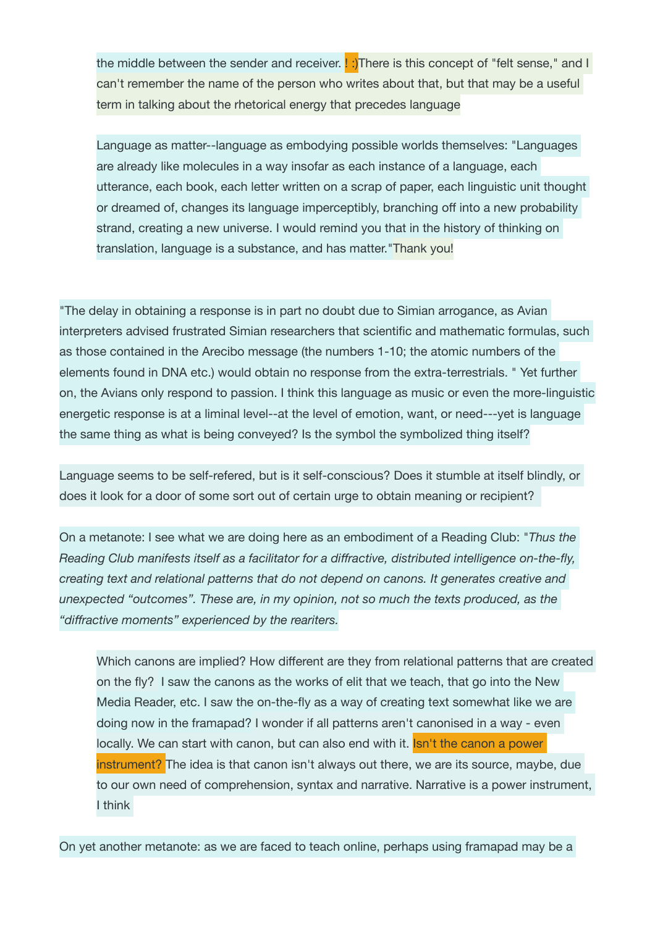the middle between the sender and receiver.  $\lfloor \cdot \rfloor$ There is this concept of "felt sense," and I can't remember the name of the person who writes about that, but that may be a useful term in talking about the rhetorical energy that precedes language

Language as matter--language as embodying possible worlds themselves: "Languages are already like molecules in a way insofar as each instance of a language, each utterance, each book, each letter written on a scrap of paper, each linguistic unit thought or dreamed of, changes its language imperceptibly, branching off into a new probability strand, creating a new universe. I would remind you that in the history of thinking on translation, language is a substance, and has matter."Thank you!

"The delay in obtaining a response is in part no doubt due to Simian arrogance, as Avian interpreters advised frustrated Simian researchers that scientific and mathematic formulas, such as those contained in the Arecibo message (the numbers 1-10; the atomic numbers of the elements found in DNA etc.) would obtain no response from the extra-terrestrials. " Yet further on, the Avians only respond to passion. I think this language as music or even the more-linguistic energetic response is at a liminal level--at the level of emotion, want, or need---yet is language the same thing as what is being conveyed? Is the symbol the symbolized thing itself?

Language seems to be self-refered, but is it self-conscious? Does it stumble at itself blindly, or does it look for a door of some sort out of certain urge to obtain meaning or recipient?

On a metanote: I see what we are doing here as an embodiment of a Reading Club: "*Thus the Reading Club manifests itself as a facilitator for a diffractive, distributed intelligence on-the-fly, creating text and relational patterns that do not depend on canons. It generates creative and unexpected "outcomes". These are, in my opinion, not so much the texts produced, as the "diffractive moments" experienced by the reariters.*

Which canons are implied? How different are they from relational patterns that are created on the fly? I saw the canons as the works of elit that we teach, that go into the New Media Reader, etc. I saw the on-the-fly as a way of creating text somewhat like we are doing now in the framapad? I wonder if all patterns aren't canonised in a way - even locally. We can start with canon, but can also end with it. Isn't the canon a power instrument? The idea is that canon isn't always out there, we are its source, maybe, due to our own need of comprehension, syntax and narrative. Narrative is a power instrument, I think

On yet another metanote: as we are faced to teach online, perhaps using framapad may be a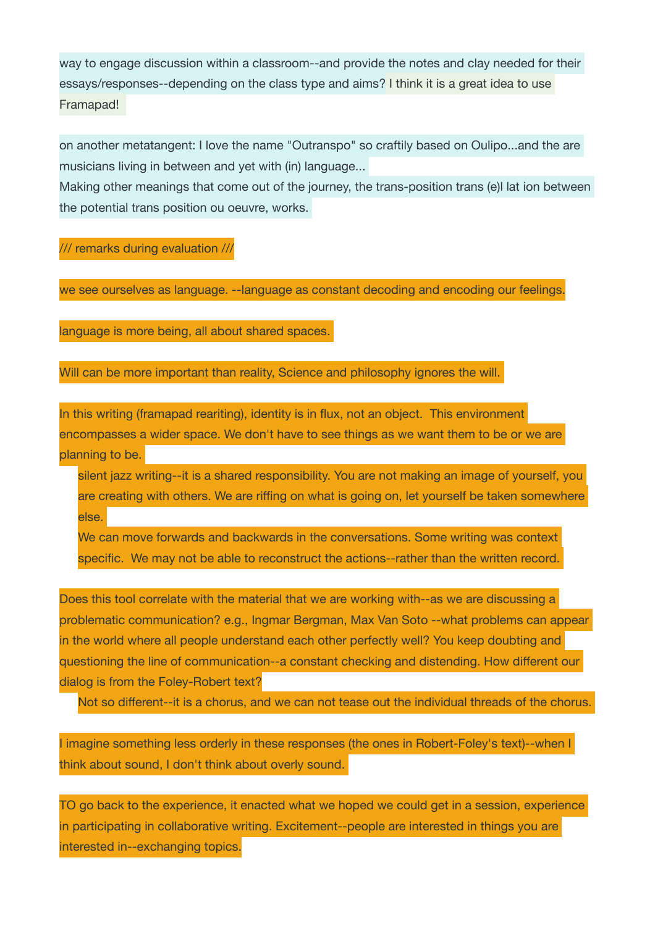way to engage discussion within a classroom--and provide the notes and clay needed for their essays/responses--depending on the class type and aims? I think it is a great idea to use Framapad!

on another metatangent: I love the name "Outranspo" so craftily based on Oulipo...and the are musicians living in between and yet with (in) language...

Making other meanings that come out of the journey, the trans-position trans (e)l lat ion between the potential trans position ou oeuvre, works.

/// remarks during evaluation ///

we see ourselves as language. --language as constant decoding and encoding our feelings.

language is more being, all about shared spaces.

Will can be more important than reality, Science and philosophy ignores the will.

In this writing (framapad reariting), identity is in flux, not an object. This environment encompasses a wider space. We don't have to see things as we want them to be or we are planning to be.

silent jazz writing--it is a shared responsibility. You are not making an image of yourself, you are creating with others. We are riffing on what is going on, let yourself be taken somewhere else.

We can move forwards and backwards in the conversations. Some writing was context specific. We may not be able to reconstruct the actions--rather than the written record.

Does this tool correlate with the material that we are working with--as we are discussing a problematic communication? e.g., Ingmar Bergman, Max Van Soto --what problems can appear in the world where all people understand each other perfectly well? You keep doubting and questioning the line of communication--a constant checking and distending. How different our dialog is from the Foley-Robert text?

Not so different--it is a chorus, and we can not tease out the individual threads of the chorus.

I imagine something less orderly in these responses (the ones in Robert-Foley's text)--when I think about sound, I don't think about overly sound.

TO go back to the experience, it enacted what we hoped we could get in a session, experience in participating in collaborative writing. Excitement--people are interested in things you are interested in--exchanging topics.